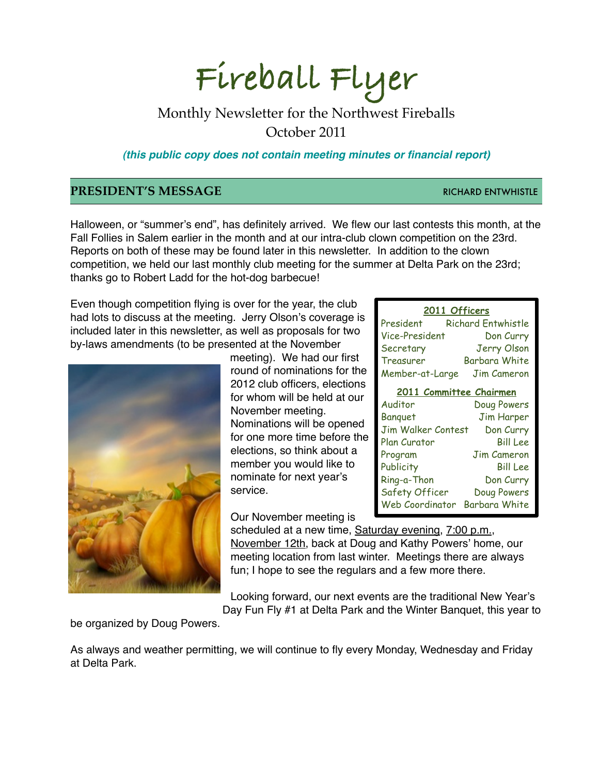# **Fireball Flyer**

## Monthly Newsletter for the Northwest Fireballs October 2011

*(this public copy does not contain meeting minutes or financial report)*

## **PRESIDENT'S MESSAGE RICHARD ENTWHISTLE**

Halloween, or "summer's end", has definitely arrived. We flew our last contests this month, at the Fall Follies in Salem earlier in the month and at our intra-club clown competition on the 23rd. Reports on both of these may be found later in this newsletter. In addition to the clown competition, we held our last monthly club meeting for the summer at Delta Park on the 23rd; thanks go to Robert Ladd for the hot-dog barbecue!

Even though competition flying is over for the year, the club had lots to discuss at the meeting. Jerry Olson's coverage is included later in this newsletter, as well as proposals for two by-laws amendments (to be presented at the November



meeting). We had our first round of nominations for the 2012 club officers, elections for whom will be held at our November meeting. Nominations will be opened for one more time before the elections, so think about a member you would like to nominate for next year's service.

Our November meeting is

scheduled at a new time, Saturday evening, 7:00 p.m., November 12th, back at Doug and Kathy Powers' home, our meeting location from last winter. Meetings there are always fun; I hope to see the regulars and a few more there.

Looking forward, our next events are the traditional New Year's

Day Fun Fly #1 at Delta Park and the Winter Banquet, this year to

be organized by Doug Powers.

As always and weather permitting, we will continue to fly every Monday, Wednesday and Friday at Delta Park.

#### **2011 Officers**

| President       | <b>Richard Entwhistle</b> |
|-----------------|---------------------------|
| Vice-President  | Don Curry                 |
| Secretary       | Jerry Olson               |
| Treasurer       | Barbara White             |
| Member-at-Large | Jim Cameron               |

# **2011 Committee Chairmen**

| Doug Powers          |
|----------------------|
| <b>Jim Harper</b>    |
| Don Curry            |
| <b>Bill Lee</b>      |
| <b>Jim Cameron</b>   |
| <b>Bill Lee</b>      |
| Don Curry            |
| Doug Powers          |
| <b>Barbara White</b> |
|                      |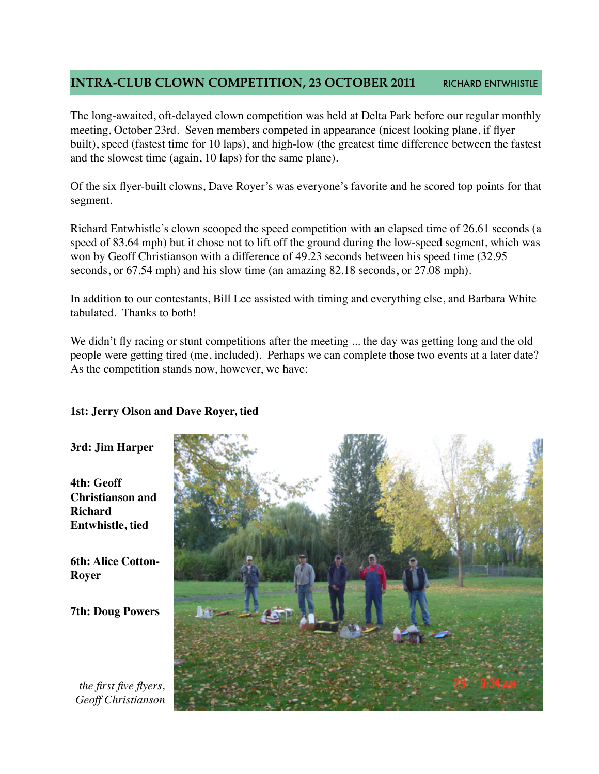## **INTRA-CLUB CLOWN COMPETITION, 23 OCTOBER 2011 RICHARD ENTWHISTLE**

The long-awaited, oft-delayed clown competition was held at Delta Park before our regular monthly meeting, October 23rd. Seven members competed in appearance (nicest looking plane, if flyer built), speed (fastest time for 10 laps), and high-low (the greatest time difference between the fastest and the slowest time (again, 10 laps) for the same plane).

Of the six flyer-built clowns, Dave Royer's was everyone's favorite and he scored top points for that segment.

Richard Entwhistle's clown scooped the speed competition with an elapsed time of 26.61 seconds (a speed of 83.64 mph) but it chose not to lift off the ground during the low-speed segment, which was won by Geoff Christianson with a difference of 49.23 seconds between his speed time (32.95 seconds, or 67.54 mph) and his slow time (an amazing 82.18 seconds, or 27.08 mph).

In addition to our contestants, Bill Lee assisted with timing and everything else, and Barbara White tabulated. Thanks to both!

We didn't fly racing or stunt competitions after the meeting ... the day was getting long and the old people were getting tired (me, included). Perhaps we can complete those two events at a later date? As the competition stands now, however, we have:

### **1st: Jerry Olson and Dave Royer, tied**

#### **3rd: Jim Harper**

**4th: Geoff Christianson and Richard Entwhistle, tied**

**6th: Alice Cotton-Royer**

**7th: Doug Powers**

*the first five flyers, Geoff Christianson*